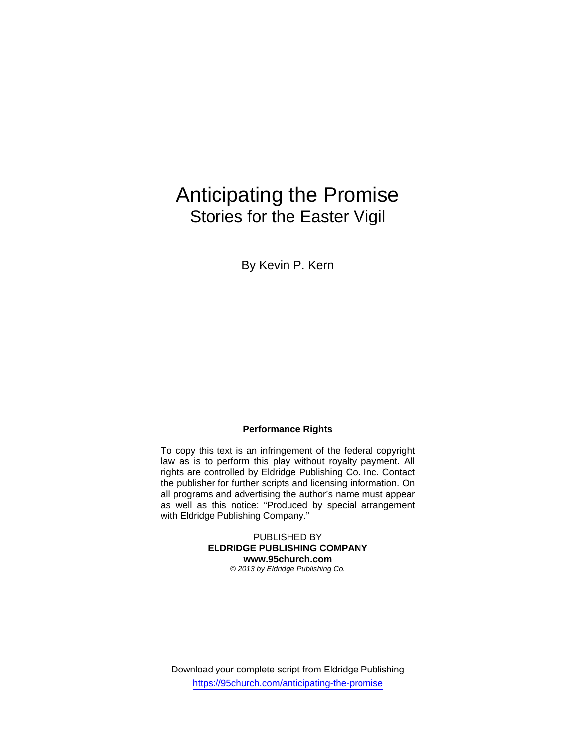# Anticipating the Promise Stories for the Easter Vigil

By Kevin P. Kern

## **Performance Rights**

To copy this text is an infringement of the federal copyright law as is to perform this play without royalty payment. All rights are controlled by Eldridge Publishing Co. Inc. Contact the publisher for further scripts and licensing information. On all programs and advertising the author's name must appear as well as this notice: "Produced by special arrangement with Eldridge Publishing Company."

> PUBLISHED BY **ELDRIDGE PUBLISHING COMPANY www.95church.com**  *© 2013 by Eldridge Publishing Co.*

Download your complete script from Eldridge Publishing https://95church.com/anticipating-the-promise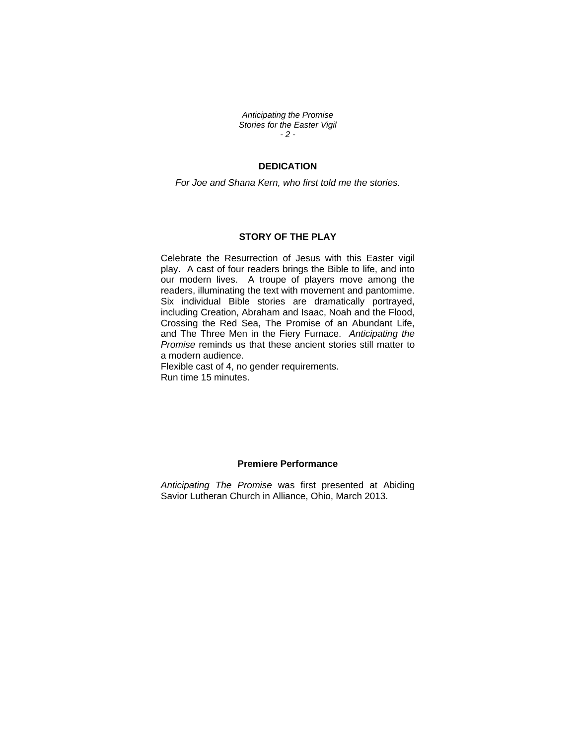*Anticipating the Promise Stories for the Easter Vigil - 2 -* 

## **DEDICATION**

*For Joe and Shana Kern, who first told me the stories.* 

#### **STORY OF THE PLAY**

Celebrate the Resurrection of Jesus with this Easter vigil play. A cast of four readers brings the Bible to life, and into our modern lives. A troupe of players move among the readers, illuminating the text with movement and pantomime. Six individual Bible stories are dramatically portrayed, including Creation, Abraham and Isaac, Noah and the Flood, Crossing the Red Sea, The Promise of an Abundant Life, and The Three Men in the Fiery Furnace. *Anticipating the Promise* reminds us that these ancient stories still matter to a modern audience.

Flexible cast of 4, no gender requirements. Run time 15 minutes.

## **Premiere Performance**

*Anticipating The Promise* was first presented at Abiding Savior Lutheran Church in Alliance, Ohio, March 2013.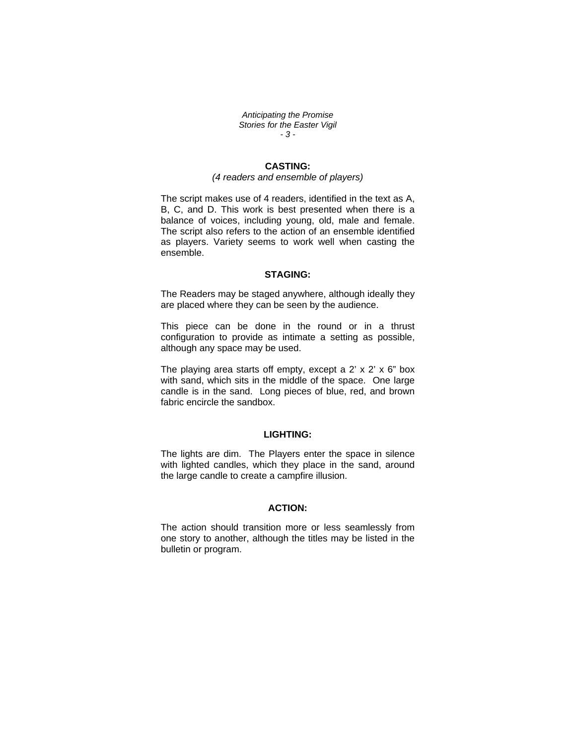*Anticipating the Promise Stories for the Easter Vigil - 3 -* 

## **CASTING:**

#### *(4 readers and ensemble of players)*

The script makes use of 4 readers, identified in the text as A, B, C, and D. This work is best presented when there is a balance of voices, including young, old, male and female. The script also refers to the action of an ensemble identified as players. Variety seems to work well when casting the ensemble.

## **STAGING:**

The Readers may be staged anywhere, although ideally they are placed where they can be seen by the audience.

This piece can be done in the round or in a thrust configuration to provide as intimate a setting as possible, although any space may be used.

The playing area starts off empty, except a  $2' \times 2' \times 6''$  box with sand, which sits in the middle of the space. One large candle is in the sand. Long pieces of blue, red, and brown fabric encircle the sandbox.

## **LIGHTING:**

The lights are dim. The Players enter the space in silence with lighted candles, which they place in the sand, around the large candle to create a campfire illusion.

## **ACTION:**

The action should transition more or less seamlessly from one story to another, although the titles may be listed in the bulletin or program.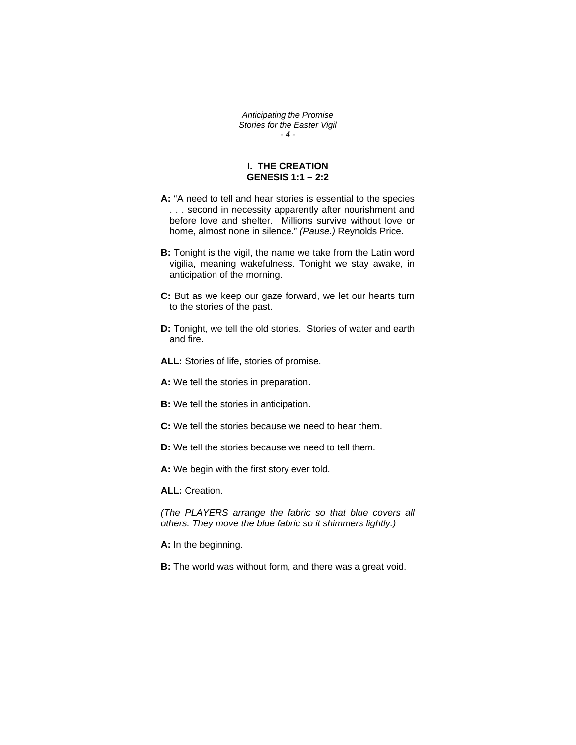*Anticipating the Promise Stories for the Easter Vigil - 4 -* 

## **I. THE CREATION GENESIS 1:1 – 2:2**

- **A:** "A need to tell and hear stories is essential to the species . . . second in necessity apparently after nourishment and before love and shelter. Millions survive without love or home, almost none in silence." *(Pause.)* Reynolds Price.
- **B:** Tonight is the vigil, the name we take from the Latin word vigilia, meaning wakefulness. Tonight we stay awake, in anticipation of the morning.
- **C:** But as we keep our gaze forward, we let our hearts turn to the stories of the past.
- **D:** Tonight, we tell the old stories. Stories of water and earth and fire.

**ALL:** Stories of life, stories of promise.

**A:** We tell the stories in preparation.

- **B:** We tell the stories in anticipation.
- **C:** We tell the stories because we need to hear them.
- **D:** We tell the stories because we need to tell them.

**A:** We begin with the first story ever told.

**ALL:** Creation.

*(The PLAYERS arrange the fabric so that blue covers all others. They move the blue fabric so it shimmers lightly.)* 

**A:** In the beginning.

**B:** The world was without form, and there was a great void.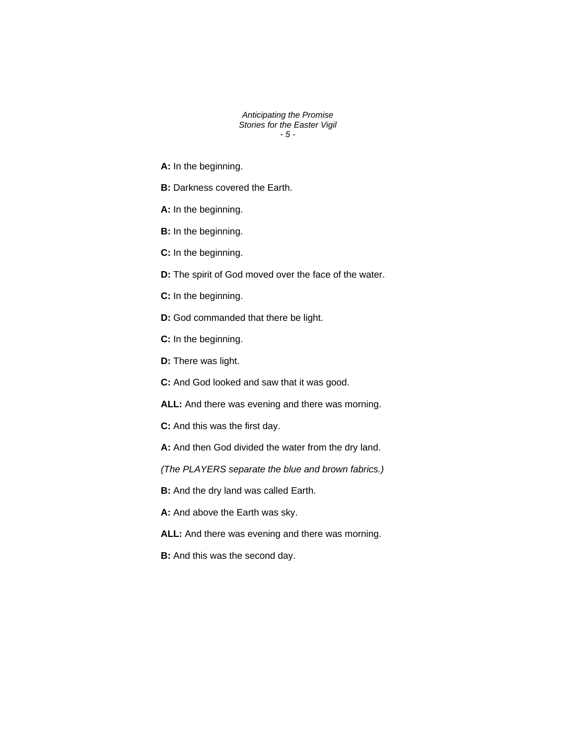*Anticipating the Promise Stories for the Easter Vigil - 5 -* 

**A:** In the beginning.

- **B:** Darkness covered the Earth.
- **A:** In the beginning.
- **B:** In the beginning.
- **C:** In the beginning.
- **D:** The spirit of God moved over the face of the water.
- **C:** In the beginning.
- **D:** God commanded that there be light.
- **C:** In the beginning.
- **D:** There was light.
- **C:** And God looked and saw that it was good.
- **ALL:** And there was evening and there was morning.
- **C:** And this was the first day.
- **A:** And then God divided the water from the dry land.
- *(The PLAYERS separate the blue and brown fabrics.)*
- **B:** And the dry land was called Earth.
- **A:** And above the Earth was sky.
- **ALL:** And there was evening and there was morning.
- **B:** And this was the second day.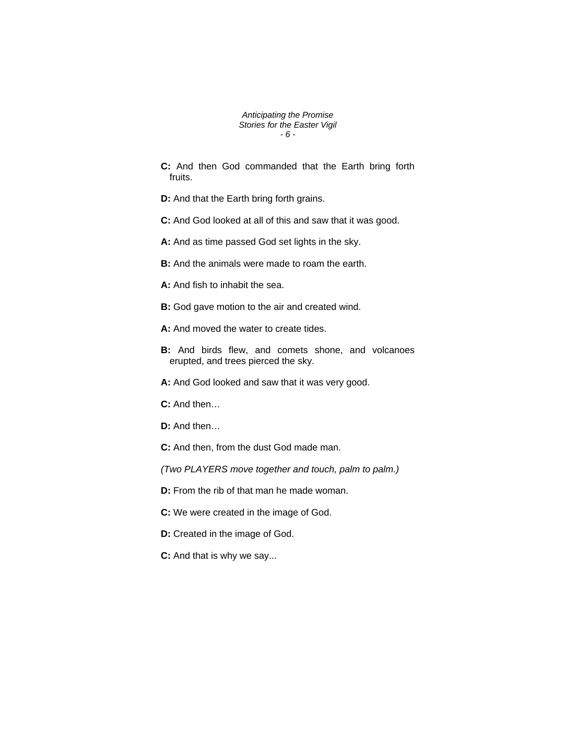*Anticipating the Promise Stories for the Easter Vigil - 6 -* 

**C:** And then God commanded that the Earth bring forth fruits.

**D:** And that the Earth bring forth grains.

- **C:** And God looked at all of this and saw that it was good.
- **A:** And as time passed God set lights in the sky.
- **B:** And the animals were made to roam the earth.
- **A:** And fish to inhabit the sea.
- **B:** God gave motion to the air and created wind.
- **A:** And moved the water to create tides.
- **B:** And birds flew, and comets shone, and volcanoes erupted, and trees pierced the sky.
- **A:** And God looked and saw that it was very good.
- **C:** And then…
- **D:** And then…
- **C:** And then, from the dust God made man.
- *(Two PLAYERS move together and touch, palm to palm.)*
- **D:** From the rib of that man he made woman.
- **C:** We were created in the image of God.
- **D:** Created in the image of God.
- **C:** And that is why we say...